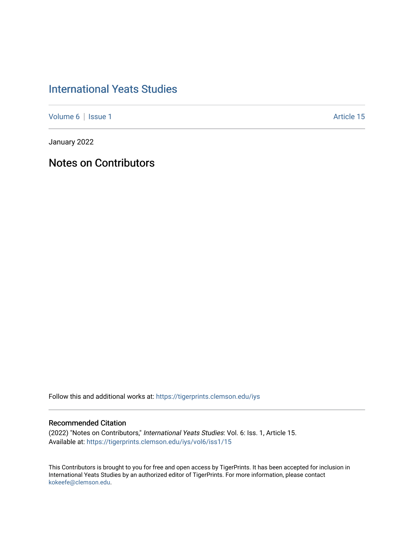## [International Yeats Studies](https://tigerprints.clemson.edu/iys)

[Volume 6](https://tigerprints.clemson.edu/iys/vol6) | [Issue 1](https://tigerprints.clemson.edu/iys/vol6/iss1) Article 15

January 2022

Notes on Contributors

Follow this and additional works at: [https://tigerprints.clemson.edu/iys](https://tigerprints.clemson.edu/iys?utm_source=tigerprints.clemson.edu%2Fiys%2Fvol6%2Fiss1%2F15&utm_medium=PDF&utm_campaign=PDFCoverPages) 

## Recommended Citation

(2022) "Notes on Contributors," International Yeats Studies: Vol. 6: Iss. 1, Article 15. Available at: [https://tigerprints.clemson.edu/iys/vol6/iss1/15](https://tigerprints.clemson.edu/iys/vol6/iss1/15?utm_source=tigerprints.clemson.edu%2Fiys%2Fvol6%2Fiss1%2F15&utm_medium=PDF&utm_campaign=PDFCoverPages) 

This Contributors is brought to you for free and open access by TigerPrints. It has been accepted for inclusion in International Yeats Studies by an authorized editor of TigerPrints. For more information, please contact [kokeefe@clemson.edu](mailto:kokeefe@clemson.edu).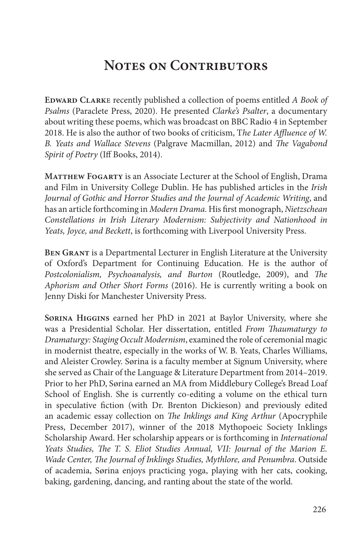## **NOTES ON CONTRIBUTORS**

**Edward Clark**e recently published a collection of poems entitled *A Book of Psalms* (Paraclete Press, 2020). He presented *Clarke's Psalter*, a documentary about writing these poems, which was broadcast on BBC Radio 4 in September 2018. He is also the author of two books of criticism, T*he Later Affluence of W. B. Yeats and Wallace Stevens* (Palgrave Macmillan, 2012) and *The Vagabond Spirit of Poetry* (Iff Books, 2014).

**Matthew Fogarty** is an Associate Lecturer at the School of English, Drama and Film in University College Dublin. He has published articles in the *Irish Journal of Gothic and Horror Studies and the Journal of Academic Writing*, and has an article forthcoming in *Modern Drama*. His first monograph, *Nietzschean Constellations in Irish Literary Modernism: Subjectivity and Nationhood in Yeats, Joyce, and Beckett*, is forthcoming with Liverpool University Press.

**Ben Grant** is a Departmental Lecturer in English Literature at the University of Oxford's Department for Continuing Education. He is the author of *Postcolonialism, Psychoanalysis, and Burton* (Routledge, 2009), and *The Aphorism and Other Short Forms* (2016). He is currently writing a book on Jenny Diski for Manchester University Press.

**SØrina Higgins** earned her PhD in 2021 at Baylor University, where she was a Presidential Scholar. Her dissertation, entitled *From Thaumaturgy to Dramaturgy: Staging Occult Modernism*, examined the role of ceremonial magic in modernist theatre, especially in the works of W. B. Yeats, Charles Williams, and Aleister Crowley. Sørina is a faculty member at Signum University, where she served as Chair of the Language & Literature Department from 2014–2019. Prior to her PhD, Sørina earned an MA from Middlebury College's Bread Loaf School of English. She is currently co-editing a volume on the ethical turn in speculative fiction (with Dr. Brenton Dickieson) and previously edited an academic essay collection on *The Inklings and King Arthur* (Apocryphile Press, December 2017), winner of the 2018 Mythopoeic Society Inklings Scholarship Award. Her scholarship appears or is forthcoming in *International Yeats Studies, The T. S. Eliot Studies Annual, VII: Journal of the Marion E. Wade Center, The Journal of Inklings Studies, Mythlore, and Penumbra*. Outside of academia, Sørina enjoys practicing yoga, playing with her cats, cooking, baking, gardening, dancing, and ranting about the state of the world.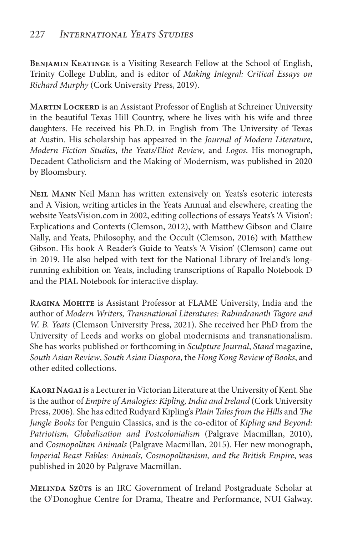**Benjamin Keatinge** is a Visiting Research Fellow at the School of English, Trinity College Dublin, and is editor of *Making Integral: Critical Essays on Richard Murphy* (Cork University Press, 2019).

**Martin Lockerd** is an Assistant Professor of English at Schreiner University in the beautiful Texas Hill Country, where he lives with his wife and three daughters. He received his Ph.D. in English from The University of Texas at Austin. His scholarship has appeared in the *Journal of Modern Literature*, *Modern Fiction Studies*, *the Yeats/Eliot Review*, and *Logos*. His monograph, Decadent Catholicism and the Making of Modernism, was published in 2020 by Bloomsbury.

**Neil Mann** Neil Mann has written extensively on Yeats's esoteric interests and A Vision, writing articles in the Yeats Annual and elsewhere, creating the website YeatsVision.com in 2002, editing collections of essays Yeats's 'A Vision': Explications and Contexts (Clemson, 2012), with Matthew Gibson and Claire Nally, and Yeats, Philosophy, and the Occult (Clemson, 2016) with Matthew Gibson. His book A Reader's Guide to Yeats's 'A Vision' (Clemson) came out in 2019. He also helped with text for the National Library of Ireland's longrunning exhibition on Yeats, including transcriptions of Rapallo Notebook D and the PIAL Notebook for interactive display.

**Ragina Mohite** is Assistant Professor at FLAME University, India and the author of *Modern Writers, Transnational Literatures: Rabindranath Tagore and W. B. Yeats* (Clemson University Press, 2021). She received her PhD from the University of Leeds and works on global modernisms and transnationalism. She has works published or forthcoming in *Sculpture Journal*, *Stand* magazine, *South Asian Review*, *South Asian Diaspora*, the *Hong Kong Review of Books*, and other edited collections.

**Kaori Nagai** is a Lecturer in Victorian Literature at the University of Kent. She is the author of *Empire of Analogies: Kipling, India and Ireland* (Cork University Press, 2006). She has edited Rudyard Kipling's *Plain Tales from the Hills* and *The Jungle Books* for Penguin Classics, and is the co-editor of *Kipling and Beyond: Patriotism, Globalisation and Postcolonialism* (Palgrave Macmillan, 2010), and *Cosmopolitan Animals* (Palgrave Macmillan, 2015). Her new monograph, *Imperial Beast Fables: Animals, Cosmopolitanism, and the British Empire*, was published in 2020 by Palgrave Macmillan.

**Melinda SzŰts** is an IRC Government of Ireland Postgraduate Scholar at the O'Donoghue Centre for Drama, Theatre and Performance, NUI Galway.